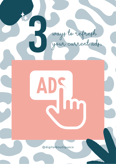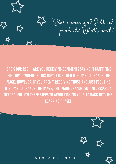

HERE'S OUR REC -- ARE YOU RECEIVING COMMENTS SAYING "I CAN'T FIND THIS TOP", "WHERE IS THIS TOP", ETC - THEN IT'S TIME TO CHANGE THE image. However, if you aren't receiving those and just feel like IT'S TIME TO CHANGE THE IMAGE, THE IMAGE CHANGE ISN'T NECESSARILY NEEDED. FOLLOW THESE STEPS TO AVOID KICKING YOUR AD BACK INTO THE LEARNING PHASE!

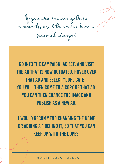If you are receiving those comments, or if there has been a seasonal change:

Go into the campaign, ad set, and visit the ad that is now outdated. Hover over that ad and select "Duplicate". YOU WILL THEN COME TO A COPY OF THAT AD. YOU CAN THEN CHANGE THE IMAGE AND publish as a new ad.

I would recommend changing the name or adding a 1 behind it, so that you can keep up with the dupes.